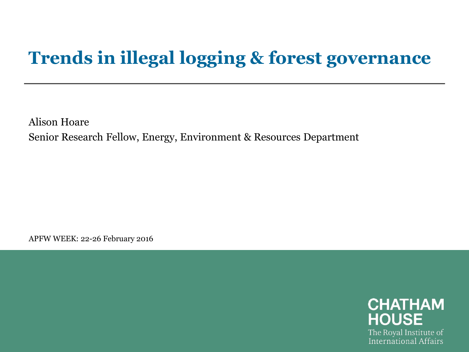## **Trends in illegal logging & forest governance**

Alison Hoare Senior Research Fellow, Energy, Environment & Resources Department

APFW WEEK: 22-26 February 2016

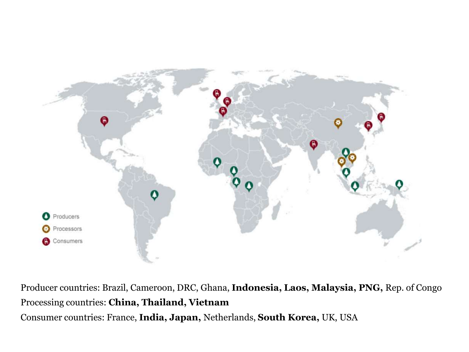

Producer countries: Brazil, Cameroon, DRC, Ghana, **Indonesia, Laos, Malaysia, PNG,** Rep. of Congo Processing countries: **China, Thailand, Vietnam** Consumer countries: France, **India, Japan,** Netherlands, **South Korea,** UK, USA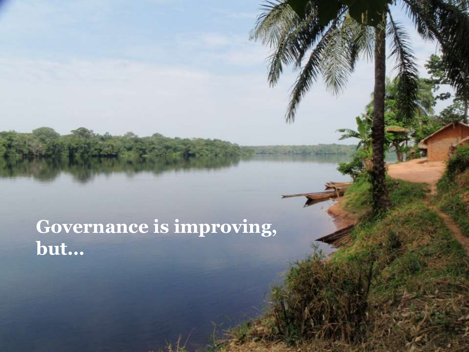# **Governance is improving, but…**

**Government**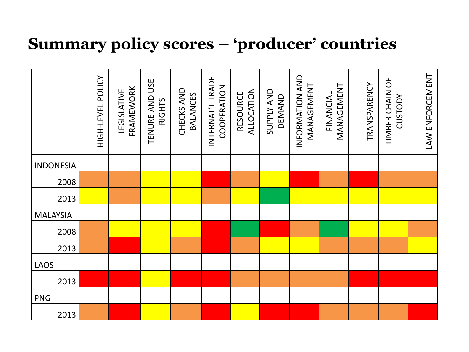### **Summary policy scores – 'producer' countries**

|                  | HIGH-LEVEL POLICY | FRAMEWORK<br>LEGISLATIVE | TENURE AND USE<br>RIGHTS | CHECKS AND<br><b>BALANCES</b> | INTERNAT'L TRADE<br>COOPERATION | ALLOCATION<br>RESOURCE | <b>SUPPLY AND</b><br><b>DEMAND</b> | INFORMATION AND<br>MANAGEMENT | MANAGEMENT<br>FINANCIAL | TRANSPARENCY | TIMBER CHAIN OF<br>CUSTODY | LAW ENFORCEMENT |
|------------------|-------------------|--------------------------|--------------------------|-------------------------------|---------------------------------|------------------------|------------------------------------|-------------------------------|-------------------------|--------------|----------------------------|-----------------|
| <b>INDONESIA</b> |                   |                          |                          |                               |                                 |                        |                                    |                               |                         |              |                            |                 |
| 2008             |                   |                          |                          |                               |                                 |                        |                                    |                               |                         |              |                            |                 |
| 2013             |                   |                          |                          |                               |                                 |                        |                                    |                               |                         |              |                            |                 |
| <b>MALAYSIA</b>  |                   |                          |                          |                               |                                 |                        |                                    |                               |                         |              |                            |                 |
| 2008             |                   |                          |                          |                               |                                 |                        |                                    |                               |                         |              |                            |                 |
| 2013             |                   |                          |                          |                               |                                 |                        |                                    |                               |                         |              |                            |                 |
| <b>LAOS</b>      |                   |                          |                          |                               |                                 |                        |                                    |                               |                         |              |                            |                 |
| 2013             |                   |                          |                          |                               |                                 |                        |                                    |                               |                         |              |                            |                 |
| <b>PNG</b>       |                   |                          |                          |                               |                                 |                        |                                    |                               |                         |              |                            |                 |
| 2013             |                   |                          |                          |                               |                                 |                        |                                    |                               |                         |              |                            |                 |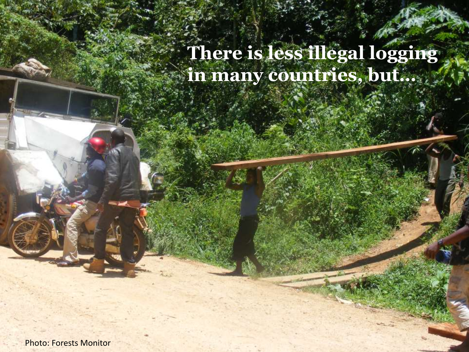# **There is less illegal logging in many countries, but…**

Photo: Forests Monitor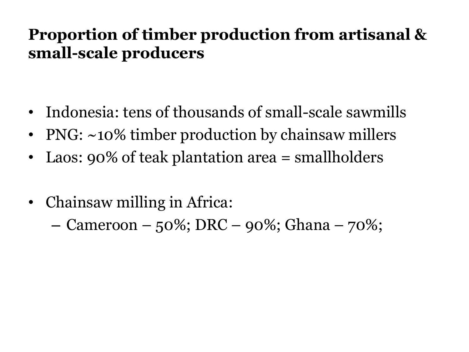### **Proportion of timber production from artisanal & small-scale producers**

- Indonesia: tens of thousands of small-scale sawmills
- PNG: ~10% timber production by chainsaw millers
- Laos: 90% of teak plantation area = smallholders
- Chainsaw milling in Africa:
	- Cameroon 50%; DRC 90%; Ghana 70%;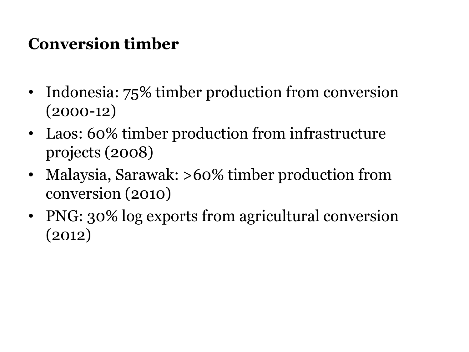## **Conversion timber**

- Indonesia: 75% timber production from conversion (2000-12)
- Laos: 60% timber production from infrastructure projects (2008)
- Malaysia, Sarawak: >60% timber production from conversion (2010)
- PNG: 30% log exports from agricultural conversion (2012)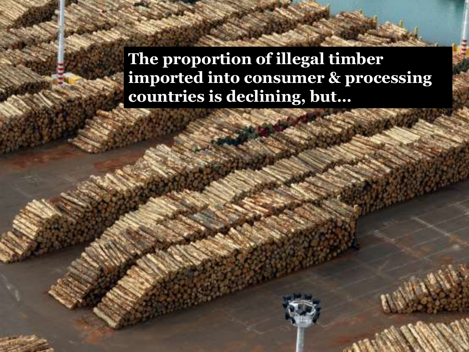**The proportion of illegal timber imported into consumer & processing countries is declining, but…**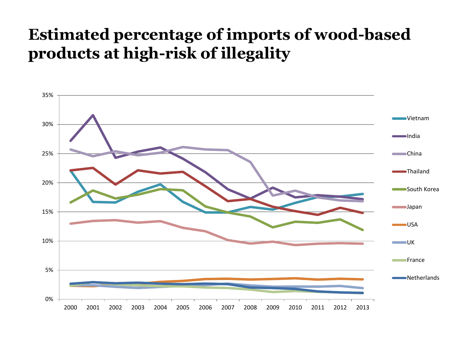#### **Estimated percentage of imports of wood-based products at high-risk of illegality**

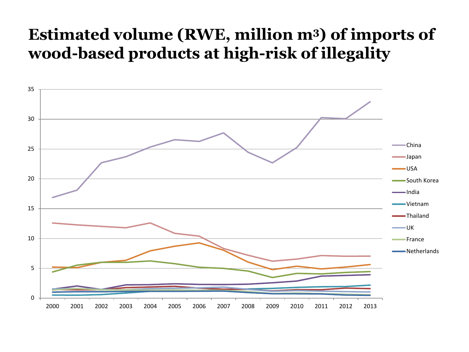#### **Estimated volume (RWE, million m<sup>3</sup>) of imports of wood-based products at high-risk of illegality**

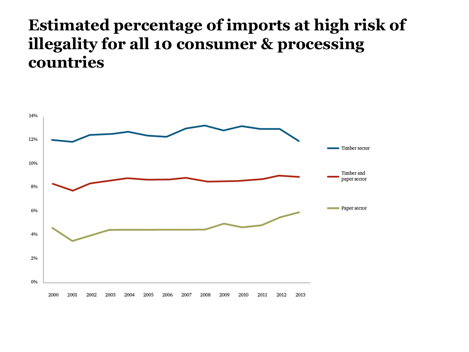#### **Estimated percentage of imports at high risk of illegality for all 10 consumer & processing countries**

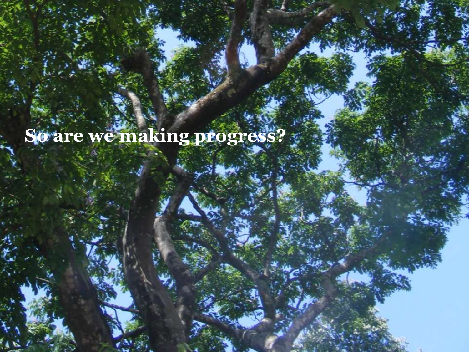# **So are we making progress?**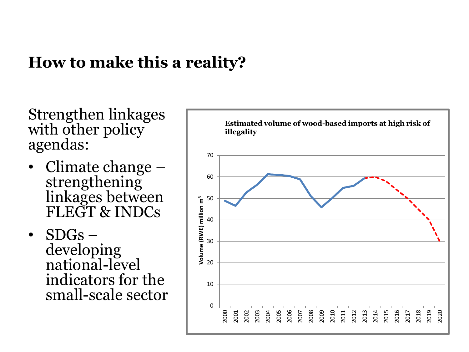#### **How to make this a reality?**

Strengthen linkages with other policy agendas:

- Climate change strengthening linkages between FLEGT & INDCs
- SDGs developing national-level indicators for the small-scale sector